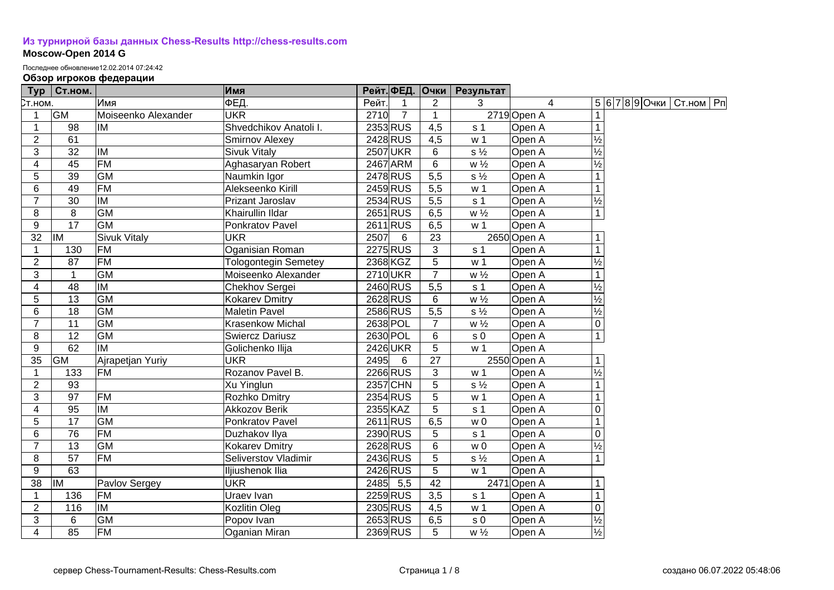## **[Из турнирной базы данных Chess-Results http://chess-results.com](http://chess-results.com/)**

## **Moscow-Open 2014 G**

Последнее обновление12.02.2014 07:24:42

## **Обзор игроков федерации**

| <b>Typ</b>      | <b>Ст.ном.</b>  |                     | Имя                         |       |                 | Рейт. ФЕД.  Очки | Результат      |             |                          |                              |  |
|-----------------|-----------------|---------------------|-----------------------------|-------|-----------------|------------------|----------------|-------------|--------------------------|------------------------------|--|
| Ст.ном.         |                 | Имя                 | ФЕД.                        | Рейт. |                 | $\overline{2}$   | 3              | 4           |                          | 5 6 7 8 9 Очки   Ст.ном   Рп |  |
| $\mathbf{1}$    | <b>GM</b>       | Moiseenko Alexander | <b>UKR</b>                  | 2710  | $\overline{7}$  | $\mathbf{1}$     |                | 2719 Open A | 1                        |                              |  |
| $\mathbf{1}$    | 98              | IM                  | Shvedchikov Anatoli I.      |       | 2353 RUS        | 4,5              | s <sub>1</sub> | Open A      | $\mathbf{1}$             |                              |  |
| $\overline{2}$  | 61              |                     | Smirnov Alexey              |       | 2428 RUS        | $\overline{4,5}$ | w <sub>1</sub> | Open A      | $\frac{1}{2}$            |                              |  |
| $\overline{3}$  | 32              | IM                  | <b>Sivuk Vitaly</b>         |       | <b>2507 UKR</b> | 6                | $s\frac{1}{2}$ | Open A      | $\overline{\frac{1}{2}}$ |                              |  |
| $\overline{4}$  | $\overline{45}$ | <b>FM</b>           | Aghasaryan Robert           |       | 2467 ARM        | $\overline{6}$   | $W\frac{1}{2}$ | Open A      | $\overline{\frac{1}{2}}$ |                              |  |
| 5               | 39              | GM                  | Naumkin Igor                |       | 2478 RUS        | $\overline{5,5}$ | $s\frac{1}{2}$ | Open A      | $\mathbf{1}$             |                              |  |
| 6               | 49              | <b>FM</b>           | Alekseenko Kirill           |       | 2459 RUS        | 5,5              | w <sub>1</sub> | Open A      |                          |                              |  |
| $\overline{7}$  | 30              | IM                  | Prizant Jaroslav            |       | 2534 RUS        | 5,5              | s <sub>1</sub> | Open A      | $\overline{\frac{1}{2}}$ |                              |  |
| 8               | 8               | <b>GM</b>           | Khairullin Ildar            |       | 2651 RUS        | 6,5              | $w\frac{1}{2}$ | Open A      | $\overline{1}$           |                              |  |
| $\overline{9}$  | $\overline{17}$ | <b>GM</b>           | Ponkratov Pavel             |       | 2611 RUS        | 6,5              | w <sub>1</sub> | Open A      |                          |                              |  |
| 32              | İІМ             | <b>Sivuk Vitaly</b> | <b>UKR</b>                  | 2507  | 6               | 23               |                | 2650 Open A |                          |                              |  |
| 1               | 130             | <b>FM</b>           | Oganisian Roman             |       | 2275 RUS        | $\mathfrak{S}$   | s <sub>1</sub> | Open A      |                          |                              |  |
| $\overline{2}$  | 87              | <b>FM</b>           | <b>Tologontegin Semetey</b> |       | 2368 KGZ        | $\overline{5}$   | w <sub>1</sub> | Open A      | $\frac{1}{2}$            |                              |  |
| 3               | $\mathbf 1$     | <b>GM</b>           | Moiseenko Alexander         |       | 2710 UKR        | $\overline{7}$   | $w\frac{1}{2}$ | Open A      |                          |                              |  |
| 4               | 48              | <b>IM</b>           | Chekhov Sergei              |       | $2460$ RUS      | 5,5              | s <sub>1</sub> | Open A      | $\frac{1}{2}$            |                              |  |
| 5               | 13              | <b>GM</b>           | <b>Kokarev Dmitry</b>       |       | 2628 RUS        | 6                | $w\frac{1}{2}$ | Open A      | $\frac{1}{2}$            |                              |  |
| $\overline{6}$  | 18              | <b>GM</b>           | <b>Maletin Pavel</b>        |       | 2586 RUS        | 5,5              | $s\frac{1}{2}$ | Open A      | $\frac{1}{2}$            |                              |  |
| $\overline{7}$  | 11              | <b>GM</b>           | <b>Krasenkow Michal</b>     |       | 2638 POL        | $\overline{7}$   | $w\frac{1}{2}$ | Open A      | $\overline{0}$           |                              |  |
| 8               | 12              | <b>GM</b>           | <b>Swiercz Dariusz</b>      |       | 2630 POL        | $\,6\,$          | s <sub>0</sub> | Open A      | $\overline{1}$           |                              |  |
| $\overline{9}$  | 62              | lм                  | Golichenko Ilija            |       | 2426UKR         | $\overline{5}$   | w <sub>1</sub> | Open A      |                          |                              |  |
| 35              | <b>GM</b>       | Ajrapetjan Yuriy    | <b>UKR</b>                  | 2495  | 6               | $\overline{27}$  |                | 2550 Open A |                          |                              |  |
| $\mathbf{1}$    | 133             | <b>FM</b>           | Rozanov Pavel B.            |       | 2266 RUS        | $\mathbf{3}$     | w <sub>1</sub> | Open A      | $\frac{1}{2}$            |                              |  |
| $\overline{2}$  | 93              |                     | Xu Yinglun                  |       | 2357 CHN        | $\sqrt{5}$       | $s\frac{1}{2}$ | Open A      |                          |                              |  |
| $\overline{3}$  | 97              | <b>FM</b>           | Rozhko Dmitry               |       | 2354 RUS        | $\overline{5}$   | w <sub>1</sub> | Open A      |                          |                              |  |
| 4               | 95              | <b>IM</b>           | Akkozov Berik               |       | 2355 KAZ        | $\overline{5}$   | s <sub>1</sub> | Open A      | $\Omega$                 |                              |  |
| $\overline{5}$  | 17              | <b>GM</b>           | Ponkratov Pavel             |       | 2611 RUS        | 6,5              | w <sub>0</sub> | Open A      |                          |                              |  |
| 6               | 76              | <b>FM</b>           | Duzhakov Ilya               |       | 2390 RUS        | $\overline{5}$   | s <sub>1</sub> | Open A      | $\overline{0}$           |                              |  |
| $\overline{7}$  | 13              | <b>GM</b>           | <b>Kokarev Dmitry</b>       |       | 2628 RUS        | $\,6$            | W <sub>0</sub> | Open A      | $\overline{\frac{1}{2}}$ |                              |  |
| 8               | $\overline{57}$ | <b>FM</b>           | Seliverstov Vladimir        |       | 2436 RUS        | $\overline{5}$   | $s\frac{1}{2}$ | Open A      | $\overline{1}$           |                              |  |
| 9               | 63              |                     | Iljiushenok Ilia            |       | 2426 RUS        | $\overline{5}$   | w <sub>1</sub> | Open A      |                          |                              |  |
| $\overline{38}$ | <b>IM</b>       | Pavlov Sergey       | <b>UKR</b>                  |       | $2485$ 5,5      | 42               |                | 2471 Open A |                          |                              |  |
| $\mathbf{1}$    | 136             | <b>FM</b>           | Uraev Ivan                  |       | 2259 RUS        | $\overline{3,5}$ | s <sub>1</sub> | Open A      |                          |                              |  |
| $\overline{2}$  | 116             | <b>IM</b>           | Kozlitin Oleg               |       | 2305 RUS        | 4,5              | w <sub>1</sub> | Open A      | $\mathbf 0$              |                              |  |
| $\overline{3}$  | 6               | $\overline{GM}$     | Popov Ivan                  |       | 2653 RUS        | 6,5              | $\sqrt{s}$ 0   | Open A      | $\frac{1}{2}$            |                              |  |
| $\overline{4}$  | 85              | <b>FM</b>           | Oganian Miran               |       | 2369 RUS        | 5                | $w\frac{1}{2}$ | Open A      | $\frac{1}{2}$            |                              |  |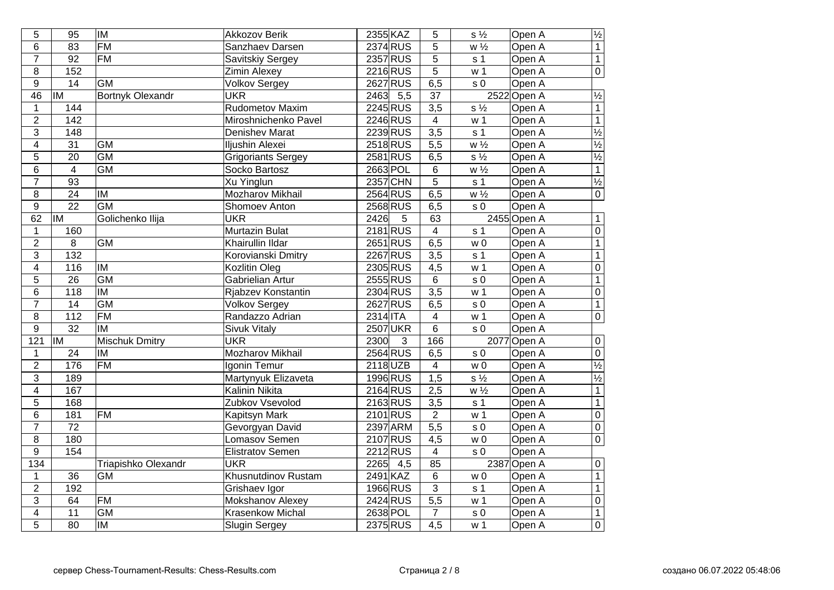| 5                       | $\overline{95}$  | <b>IM</b>                | <b>Akkozov Berik</b>      | 2355 KAZ                 | 5                | $s\frac{1}{2}$                | Open A      | $\sqrt{1/2}$             |
|-------------------------|------------------|--------------------------|---------------------------|--------------------------|------------------|-------------------------------|-------------|--------------------------|
| 6                       | 83               | <b>FM</b>                | Sanzhaev Darsen           | 2374 RUS                 | $\overline{5}$   | W <sup>1</sup> / <sub>2</sub> | Open A      | $\overline{1}$           |
| $\overline{7}$          | 92               | FM                       | Savitskiy Sergey          | 2357 RUS                 | $\overline{5}$   | s <sub>1</sub>                | Open A      | $\overline{1}$           |
| $\overline{8}$          | 152              |                          | <b>Zimin Alexey</b>       | 2216 RUS                 | $\overline{5}$   | w <sub>1</sub>                | Open A      | $\overline{0}$           |
| $\boldsymbol{9}$        | 14               | <b>GM</b>                | <b>Volkov Sergey</b>      | 2627 RUS                 | 6,5              | s <sub>0</sub>                | Open A      |                          |
| $\overline{46}$         | İМ               | <b>Bortnyk Olexandr</b>  | <b>UKR</b>                | 2463<br>5,5              | 37               |                               | 2522 Open A | $\sqrt{2}$               |
| $\mathbf{1}$            | 144              |                          | Rudometov Maxim           | 2245 RUS                 | $\overline{3,5}$ | $s\frac{1}{2}$                | Open A      | $\overline{1}$           |
| $\overline{2}$          | 142              |                          | Miroshnichenko Pavel      | 2246 RUS                 | $\overline{4}$   | w <sub>1</sub>                | Open A      | $\overline{1}$           |
| $\sqrt{3}$              | 148              |                          | <b>Denishev Marat</b>     | 2239 RUS                 | $\overline{3,5}$ | s <sub>1</sub>                | Open A      | $\frac{1}{2}$            |
| $\overline{\mathbf{4}}$ | $\overline{31}$  | <b>GM</b>                | Iljushin Alexei           | 2518RUS                  | 5,5              | $w\frac{1}{2}$                | Open A      | $\frac{1}{2}$            |
| $\mathbf 5$             | 20               | <b>GM</b>                | <b>Grigoriants Sergey</b> | 2581 RUS                 | 6, 5             | $s\frac{1}{2}$                | Open A      |                          |
| $\,6$                   | $\overline{4}$   | $\overline{GM}$          | Socko Bartosz             | 2663 POL                 | $6\,$            | $w\frac{1}{2}$                | Open A      | $\overline{1}$           |
| $\overline{7}$          | 93               |                          | Xu Yinglun                | 2357 CHN                 | $\overline{5}$   | s <sub>1</sub>                | Open A      | $\frac{1}{2}$            |
| $\overline{8}$          | $\overline{24}$  | $\overline{\mathsf{I}}$  | Mozharov Mikhail          | 2564 RUS                 | 6,5              | $w\frac{1}{2}$                | Open A      | $\overline{0}$           |
| $\overline{9}$          | $\overline{22}$  | <b>GM</b>                | Shomoev Anton             | 2568 RUS                 | 6, 5             | s <sub>0</sub>                | Open A      |                          |
| 62                      | <b>IM</b>        | Golichenko Ilija         | <b>UKR</b>                | 2426<br>5                | 63               |                               | 2455 Open A | $\mathbf{1}$             |
| $\mathbf{1}$            | 160              |                          | Murtazin Bulat            | 2181 RUS                 | $\overline{4}$   | s <sub>1</sub>                | Open A      | $\overline{0}$           |
| $\overline{2}$          | 8                | <b>GM</b>                | Khairullin Ildar          | $2651$ RUS               | 6,5              | w <sub>0</sub>                | Open A      | $\overline{1}$           |
| $\overline{3}$          | 132              |                          | Korovianski Dmitry        | 2267 RUS                 | 3,5              | s <sub>1</sub>                | Open A      | $\overline{1}$           |
| $\overline{4}$          | 116              | <b>IM</b>                | <b>Kozlitin Oleg</b>      | 2305 RUS                 | 4,5              | w <sub>1</sub>                | Open A      | $\overline{0}$           |
| 5                       | 26               | $\overline{GM}$          | Gabrielian Artur          | 2555 RUS                 | 6                | s <sub>0</sub>                | Open A      | $\overline{1}$           |
| 6                       | $\overline{118}$ | $\overline{\mathsf{IM}}$ | Rjabzev Konstantin        | 2304 RUS                 | $\overline{3,5}$ | w <sub>1</sub>                | Open A      | $\overline{0}$           |
| $\overline{7}$          | $\overline{14}$  | $\overline{GM}$          | <b>Volkov Sergey</b>      | 2627 RUS                 | 6,5              | s <sub>0</sub>                | Open A      | $\overline{1}$           |
| 8                       | $\overline{112}$ | $\overline{FM}$          | Randazzo Adrian           | $2314$ ITA               | $\overline{4}$   | w <sub>1</sub>                | Open A      | $\overline{0}$           |
| $\overline{9}$          | $\overline{32}$  | $\overline{\mathsf{IM}}$ | <b>Sivuk Vitaly</b>       | <b>2507 UKR</b>          | $\overline{6}$   | $\overline{s}$ <sub>0</sub>   | Open A      |                          |
| 121                     | <b>IM</b>        | <b>Mischuk Dmitry</b>    | <b>UKR</b>                | 2300<br>$\overline{3}$   | 166              |                               | 2077 Open A | $\overline{0}$           |
| $\mathbf{1}$            | $\overline{24}$  | $\overline{IM}$          | <b>Mozharov Mikhail</b>   | 2564 RUS                 | 6,5              | s <sub>0</sub>                | Open A      | $\overline{0}$           |
| $\overline{2}$          | 176              | FM                       | Igonin Temur              | $2118$ UZB               | $\overline{4}$   | w <sub>0</sub>                | Open A      | $\overline{\frac{1}{2}}$ |
| $\overline{3}$          | 189              |                          | Martynyuk Elizaveta       | 1996 RUS                 | 1,5              | $\overline{s\frac{1}{2}}$     | Open A      | $\overline{\frac{1}{2}}$ |
| $\overline{\mathbf{4}}$ | 167              |                          | <b>Kalinin Nikita</b>     | 2164 RUS                 | 2,5              | $\overline{w\frac{1}{2}}$     | Open A      | $\overline{1}$           |
| $\overline{5}$          | 168              |                          | Zubkov Vsevolod           | 2163 RUS                 | $\overline{3,5}$ | s <sub>1</sub>                | Open A      | $\overline{1}$           |
| 6                       | 181              | <b>FM</b>                | Kapitsyn Mark             | 2101 RUS                 | $\overline{2}$   | w <sub>1</sub>                | Open A      | $\overline{0}$           |
| $\overline{7}$          | $\overline{72}$  |                          | Gevorgyan David           | 2397 ARM                 | $\overline{5,5}$ | s <sub>0</sub>                | Open A      | $\overline{0}$           |
| $\overline{8}$          | 180              |                          | <b>Lomasov Semen</b>      | 2107 RUS                 | $\overline{4,5}$ | $w_0$                         | Open A      | $\overline{0}$           |
| $\overline{9}$          | 154              |                          | <b>Elistratov Semen</b>   | 2212RUS                  | $\overline{4}$   | s <sub>0</sub>                | Open A      |                          |
| $\overline{134}$        |                  | Triapishko Olexandr      | <b>UKR</b>                | $\overline{4,5}$<br>2265 | 85               |                               | 2387 Open A | $\overline{0}$           |
| $\mathbf{1}$            | $\overline{36}$  | <b>GM</b>                | Khusnutdinov Rustam       | 2491 KAZ                 | 6                | $w\overline{0}$               | Open A      | $\overline{1}$           |
| $\boldsymbol{2}$        | 192              |                          | Grishaev Igor             | 1966 RUS                 | $\overline{3}$   | s <sub>1</sub>                | Open A      | $\overline{1}$           |
| $\overline{3}$          | 64               | <b>FM</b>                | Mokshanov Alexey          | 2424 RUS                 | $\overline{5,5}$ | w <sub>1</sub>                | Open A      | $\overline{0}$           |
| $\overline{\mathbf{4}}$ | 11               | <b>GM</b>                | Krasenkow Michal          | 2638 POL                 | $\overline{7}$   | $s \overline{0}$              | Open A      | $\overline{1}$           |
| $\overline{5}$          | 80               | <b>IM</b>                | <b>Slugin Sergey</b>      | 2375 RUS                 | $\overline{4,5}$ | w <sub>1</sub>                | Open A      | $\overline{0}$           |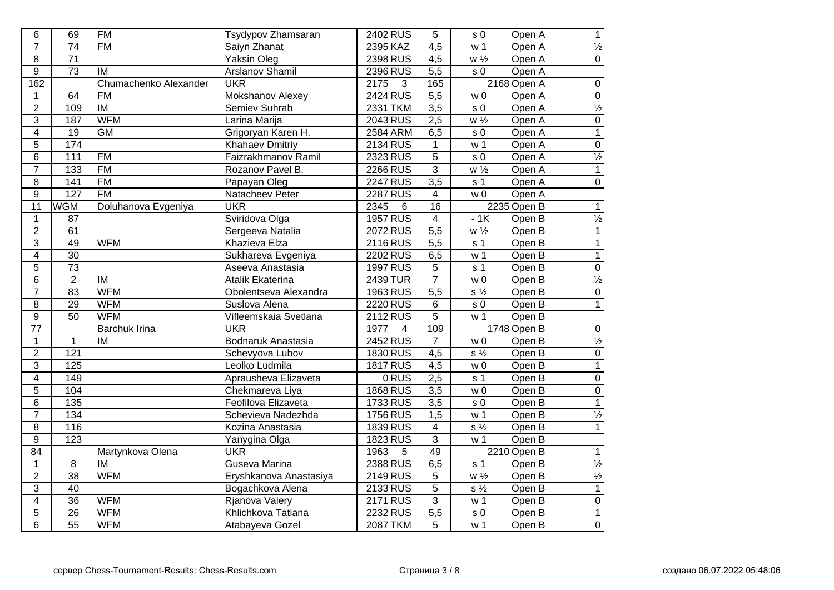| 6                       | 69               | <b>FM</b>                | Tsydypov Zhamsaran     | 2402 RUS               | 5                | s <sub>0</sub>              | Open A              | $\overline{1}$           |
|-------------------------|------------------|--------------------------|------------------------|------------------------|------------------|-----------------------------|---------------------|--------------------------|
| $\overline{7}$          | $\overline{74}$  | $\overline{FM}$          | Saiyn Zhanat           | 2395 KAZ               | $\overline{4,5}$ | w <sub>1</sub>              | Open A              | $\frac{1}{2}$            |
| $\overline{8}$          | $\overline{71}$  |                          | <b>Yaksin Oleg</b>     | 2398 RUS               | $\overline{4,5}$ | $W\frac{1}{2}$              | Open A              | $\overline{0}$           |
| $\overline{9}$          | $\overline{73}$  | IM                       | <b>Arslanov Shamil</b> | 2396 RUS               | $\overline{5,5}$ | $\overline{s}$ <sub>0</sub> | Open A              |                          |
| 162                     |                  | Chumachenko Alexander    | <b>UKR</b>             | 2175<br>3              | 165              |                             | 2168 Open A         | $\overline{0}$           |
| $\mathbf{1}$            | 64               | <b>FM</b>                | Mokshanov Alexey       | 2424 RUS               | $\overline{5,5}$ | w <sub>0</sub>              | Open A              | $\overline{0}$           |
| $\overline{2}$          | 109              | IM                       | Semiev Suhrab          | 2331 TKM               | $\overline{3,5}$ | s <sub>0</sub>              | Open A              | $\overline{\frac{1}{2}}$ |
| $\overline{3}$          | 187              | <b>WFM</b>               | Larina Marija          | 2043 RUS               | 2,5              | $w\frac{1}{2}$              | Open A              | $\overline{0}$           |
| $\overline{\mathbf{4}}$ | 19               | <b>GM</b>                | Grigoryan Karen H.     | 2584 ARM               | 6,5              | s <sub>0</sub>              | Open A              | $\overline{1}$           |
| 5                       | 174              |                          | <b>Khahaev Dmitriy</b> | 2134 RUS               | $\mathbf{1}$     | w <sub>1</sub>              | Open A              | $\frac{0}{\frac{1}{2}}$  |
| 6                       | 111              | <b>FM</b>                | Faizrakhmanov Ramil    | 2323RUS                | 5                | $\sqrt{s}$ 0                | Open A              |                          |
| $\overline{7}$          | $\overline{133}$ | <b>FM</b>                | Rozanov Pavel B.       | 2266 RUS               | $\overline{3}$   | $w\frac{1}{2}$              | Open A              | $\overline{1}$           |
| 8                       | $\overline{141}$ | <b>FM</b>                | Papayan Oleg           | 2247 RUS               | $\overline{3,5}$ | s <sub>1</sub>              | Open A              | $\overline{0}$           |
| $\overline{9}$          | $\overline{127}$ | <b>FM</b>                | Natacheev Peter        | 2287 RUS               | $\overline{4}$   | W <sub>0</sub>              | Open A              |                          |
| 11                      | <b>WGM</b>       | Doluhanova Evgeniya      | <b>UKR</b>             | 2345<br>6              | 16               |                             | 2235 Open B         | $\mathbf 1$              |
| $\mathbf{1}$            | 87               |                          | Sviridova Olga         | 1957 RUS               | $\overline{4}$   | $-1K$                       | Open B              | $\frac{1}{2}$            |
| $\overline{2}$          | 61               |                          | Sergeeva Natalia       | 2072RUS                | $\overline{5,5}$ | $w\frac{1}{2}$              | Open B              | $\overline{1}$           |
| $\overline{3}$          | 49               | <b>WFM</b>               | Khazieva Elza          | 2116RUS                | 5,5              | s <sub>1</sub>              | Open B              | $\overline{1}$           |
| $\overline{\mathbf{4}}$ | 30               |                          | Sukhareva Evgeniya     | 2202 RUS               | 6,5              | w <sub>1</sub>              | Open B              | $\overline{1}$           |
| $\mathbf 5$             | 73               |                          | Aseeva Anastasia       | 1997 RUS               | $\overline{5}$   | s <sub>1</sub>              | Open B              | $\frac{0}{\frac{1}{2}}$  |
| 6                       | $\overline{2}$   | IM                       | Atalik Ekaterina       | 2439 TUR               | $\overline{7}$   | w <sub>0</sub>              | Open B              |                          |
| $\overline{7}$          | 83               | <b>WFM</b>               | Obolentseva Alexandra  | 1963RUS                | $\overline{5,5}$ | $S\frac{1}{2}$              | Open B              | $\overline{0}$           |
| $\overline{8}$          | $\overline{29}$  | <b>WFM</b>               | Suslova Alena          | 2220 RUS               | 6                | s <sub>0</sub>              | Open B              | $\overline{1}$           |
| $\overline{9}$          | 50               | <b>WFM</b>               | Vifleemskaia Svetlana  | $2112$ RUS             | $\overline{5}$   | $\overline{w}$ 1            | Open B              |                          |
| $\overline{77}$         |                  | <b>Barchuk Irina</b>     | <b>UKR</b>             | 1977<br>$\overline{4}$ | $\overline{109}$ |                             | 1748 Open B         | $\overline{0}$           |
| $\overline{1}$          | $\mathbf{1}$     | IM                       | Bodnaruk Anastasia     | 2452RUS                | $\overline{7}$   | w <sub>0</sub>              | Open B              | $\overline{\frac{1}{2}}$ |
| $\overline{2}$          | 121              |                          | Schevyova Lubov        | 1830 RUS               | 4,5              | $s\frac{1}{2}$              | Open B              | $\overline{0}$           |
| $\overline{3}$          | 125              |                          | Leolko Ludmila         | 1817 RUS               | $\overline{4,5}$ | w <sub>0</sub>              | Open B              | $\overline{1}$           |
| $\overline{4}$          | 149              |                          | Aprausheva Elizaveta   | <b>ORUS</b>            | 2,5              | s <sub>1</sub>              | Open B              | $\overline{0}$           |
| $\overline{5}$          | 104              |                          | Chekmareva Liya        | 1868 RUS               | $\overline{3,5}$ | w <sub>0</sub>              | Open B              | $\overline{0}$           |
| 6                       | $\overline{135}$ |                          | Feofilova Elizaveta    | 1733RUS                | $\overline{3,5}$ | $\overline{s}$ 0            | Open B              | $\overline{1}$           |
| $\overline{7}$          | 134              |                          | Schevieva Nadezhda     | 1756 RUS               | 1,5              | w <sub>1</sub>              | Open B              | $\frac{1}{2}$            |
| 8                       | $\overline{116}$ |                          | Kozina Anastasia       | 1839RUS                | 4                | $s\frac{1}{2}$              | Open B              | $\overline{1}$           |
| $\overline{9}$          | 123              |                          | Yanygina Olga          | 1823 RUS               | $\overline{3}$   | w <sub>1</sub>              | Open B              |                          |
| $\overline{84}$         |                  | Martynkova Olena         | <b>UKR</b>             | 1963<br>5              | 49               |                             | $2210$ Open B       | $\overline{1}$           |
| $\mathbf{1}$            | $\overline{8}$   | $\overline{\mathsf{IM}}$ | Guseva Marina          | 2388 RUS               | 6,5              | s <sub>1</sub>              | Open B              | $\overline{\frac{1}{2}}$ |
| $\boldsymbol{2}$        | $\overline{38}$  | <b>WFM</b>               | Eryshkanova Anastasiya | 2149 RUS               | 5                | $w\frac{1}{2}$              | Open B              | $\frac{1}{2}$            |
| $\overline{3}$          | 40               |                          | Bogachkova Alena       | 2133RUS                | $\overline{5}$   | $s\frac{1}{2}$              | Open B              | $\overline{1}$           |
| $\overline{4}$          | $\overline{36}$  | <b>WFM</b>               | Rjanova Valery         | 2171RUS                | $\overline{3}$   | w <sub>1</sub>              | Open B              | $\overline{0}$           |
| $\overline{5}$          | $\overline{26}$  | <b>WFM</b>               | Khlichkova Tatiana     | 2232RUS                | $\overline{5,5}$ | s <sub>0</sub>              | Open $\overline{B}$ | $\overline{1}$           |
| 6                       | $\overline{55}$  | <b>WFM</b>               | Atabayeva Gozel        | 2087 TKM               | 5                | w <sub>1</sub>              | Open B              | $\overline{0}$           |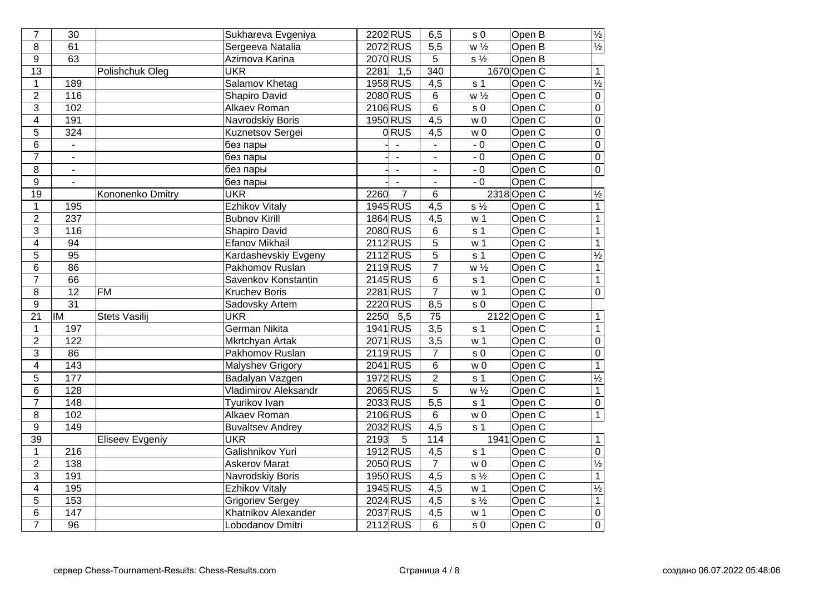| $\overline{7}$            | $\overline{30}$          |                        | Sukhareva Evgeniya      | 2202 RUS                 | 6,5              | s <sub>0</sub>              | Open B              | $\sqrt{1/2}$             |
|---------------------------|--------------------------|------------------------|-------------------------|--------------------------|------------------|-----------------------------|---------------------|--------------------------|
| 8                         | 61                       |                        | Sergeeva Natalia        | 2072 RUS                 | $\overline{5,5}$ | $\overline{W\frac{1}{2}}$   | Open B              | $\overline{\frac{1}{2}}$ |
| $\overline{9}$            | $\overline{63}$          |                        | Azimova Karina          | 2070 RUS                 | 5                | $\overline{s\frac{1}{2}}$   | Open B              |                          |
| $\overline{13}$           |                          | Polishchuk Oleg        | <b>UKR</b>              | 2281<br>$\overline{1,5}$ | 340              |                             | 1670 Open C         | $\overline{1}$           |
| $\mathbf{1}$              | 189                      |                        | Salamov Khetag          | 1958 RUS                 | 4,5              | s <sub>1</sub>              | Open C              | $\frac{1}{2}$            |
| $\overline{2}$            | 116                      |                        | <b>Shapiro David</b>    | 2080 RUS                 | $6\phantom{1}$   | $w\frac{1}{2}$              | Open C              | $\overline{0}$           |
| $\overline{3}$            | 102                      |                        | Alkaev Roman            | 2106 RUS                 | $\overline{6}$   | s <sub>0</sub>              | Open C              | $\overline{0}$           |
| $\overline{\mathbf{4}}$   | 191                      |                        | Navrodskiy Boris        | 1950 RUS                 | 4,5              | w <sub>0</sub>              | Open C              | $\overline{0}$           |
| 5                         | 324                      |                        | Kuznetsov Sergei        | <b>ORUS</b>              | 4,5              | w <sub>0</sub>              | Open C              | $\overline{0}$           |
| 6                         | $\blacksquare$           |                        | без пары                |                          | $\blacksquare$   | $-0$                        | Open C              | $\overline{0}$           |
| $\overline{7}$            | $\overline{\phantom{a}}$ |                        | без пары                |                          |                  | $-0$                        | Open C              | $\overline{0}$           |
| $\overline{8}$            | $\blacksquare$           |                        | без пары                | $\mathbf{r}$             | $\blacksquare$   | $-0$                        | Open C              | $\overline{0}$           |
| $\mathsf g$               | $\blacksquare$           |                        | без пары                |                          |                  | $-0$                        | Open C              |                          |
| $\overline{19}$           |                          | Kononenko Dmitry       | <b>UKR</b>              | $\overline{7}$<br>2260   | $\overline{6}$   |                             | 2318 Open C         | $\frac{1}{2}$            |
| $\mathbf{1}$              | 195                      |                        | <b>Ezhikov Vitaly</b>   | 1945 RUS                 | 4,5              | $s\frac{1}{2}$              | Open C              | $\overline{1}$           |
| $\overline{2}$            | 237                      |                        | <b>Bubnov Kirill</b>    | 1864 RUS                 | 4,5              | w <sub>1</sub>              | Open C              | $\overline{1}$           |
| $\overline{3}$            | 116                      |                        | <b>Shapiro David</b>    | 2080 RUS                 | $6\overline{6}$  | s <sub>1</sub>              | Open <sub>C</sub>   | $\overline{1}$           |
| $\overline{4}$            | $\overline{94}$          |                        | <b>Efanov Mikhail</b>   | $2112$ RUS               | $\overline{5}$   | w <sub>1</sub>              | Open C              | $\overline{1}$           |
| $\overline{5}$            | $\overline{95}$          |                        | Kardashevskiy Evgeny    | 2112RUS                  | $\overline{5}$   | s <sub>1</sub>              | Open <sub>C</sub>   | $\frac{1}{2}$            |
| 6                         | $\overline{86}$          |                        | Pakhomov Ruslan         | 2119RUS                  | $\overline{7}$   | $w\frac{1}{2}$              | Open C              | $\overline{1}$           |
| $\overline{7}$            | 66                       |                        | Savenkov Konstantin     | 2145 RUS                 | 6                | s <sub>1</sub>              | Open <sub>C</sub>   | $\overline{1}$           |
| 8                         | $\overline{12}$          | F M                    | <b>Kruchev Boris</b>    | 2281 RUS                 | $\overline{7}$   | w <sub>1</sub>              | Open <sub>C</sub>   | $\overline{0}$           |
| $\overline{9}$            | $\overline{31}$          |                        | Sadovsky Artem          | 2220 RUS                 | 8,5              | s <sub>0</sub>              | Open C              |                          |
| $\overline{21}$           | İM                       | <b>Stets Vasilij</b>   | <b>UKR</b>              | $2250$ 5,5               | $\overline{75}$  |                             | 2122 Open C         | $\overline{1}$           |
| $\mathbf{1}$              | 197                      |                        | <b>German Nikita</b>    | 1941 RUS                 | $\overline{3,5}$ | $\overline{s}$ 1            | Open C              | $\overline{1}$           |
| $\overline{2}$            | 122                      |                        | <b>Mkrtchyan Artak</b>  | 2071 RUS                 | $\overline{3,5}$ | w <sub>1</sub>              | Open <sub>C</sub>   | $\overline{0}$           |
| $\overline{3}$            | 86                       |                        | Pakhomov Ruslan         | $2119$ RUS               | 7                | $\overline{s}$ <sub>0</sub> | Open C              | $\overline{0}$           |
| $\overline{4}$            | 143                      |                        | <b>Malyshev Grigory</b> | 2041 RUS                 | $\overline{6}$   | $\overline{w}$ 0            | Open <sub>C</sub>   | $\overline{1}$           |
| $\overline{5}$            | $\overline{177}$         |                        | Badalyan Vazgen         | 1972RUS                  | $\overline{2}$   | s <sub>1</sub>              | Open C              | $\overline{\frac{1}{2}}$ |
| $\overline{6}$            | $\overline{128}$         |                        | Vladimirov Aleksandr    | 2065 RUS                 | $\overline{5}$   | $\overline{w\frac{1}{2}}$   | Open C              | $\overline{1}$           |
| $\overline{7}$            | 148                      |                        | <b>Tyurikov Ivan</b>    | 2033 RUS                 | $\overline{5,5}$ | s <sub>1</sub>              | Open C              | $\overline{0}$           |
| 8                         | 102                      |                        | <b>Alkaev Roman</b>     | 2106 RUS                 | $\overline{6}$   | w <sub>0</sub>              | Open <sub>C</sub>   | $\overline{1}$           |
| $\overline{9}$            | 149                      |                        | <b>Buvaltsev Andrey</b> | 2032RUS                  | $\overline{4,5}$ | s <sub>1</sub>              | Open C              |                          |
| $\overline{39}$           |                          | <b>Eliseev Evgeniy</b> | <b>UKR</b>              | 2193<br>$5\phantom{.0}$  | 114              |                             | 1941 Open C         | $\overline{1}$           |
| $\mathbf{1}$              | 216                      |                        | Galishnikov Yuri        | 1912RUS                  | $\overline{4,5}$ | s <sub>1</sub>              | Open C              | $\overline{0}$           |
| $\overline{2}$            | 138                      |                        | <b>Askerov Marat</b>    | 2050 RUS                 | $\overline{7}$   | $\overline{w}$ 0            | Open <sub>C</sub>   | $\overline{\frac{1}{2}}$ |
| $\ensuremath{\mathsf{3}}$ | 191                      |                        | Navrodskiy Boris        | 1950 RUS                 | 4,5              | $s\frac{1}{2}$              | Open C              | $\overline{1}$           |
| $\overline{\mathbf{4}}$   | 195                      |                        | <b>Ezhikov Vitaly</b>   | 1945 RUS                 | $\overline{4,5}$ | w <sub>1</sub>              | Open C              | $\frac{1}{2}$            |
| $\overline{5}$            | 153                      |                        | Grigoriev Sergey        | 2024 RUS                 | 4,5              | $s\frac{1}{2}$              | Open C              | $\overline{1}$           |
| $\overline{6}$            | 147                      |                        | Khatnikov Alexander     | 2037 RUS                 | $\overline{4,5}$ | w <sub>1</sub>              | Open $\overline{C}$ | $\overline{0}$           |
| $\overline{7}$            | $\overline{96}$          |                        | Lobodanov Dmitri        | 2112RUS                  | 6                | s <sub>0</sub>              | Open C              | $\overline{0}$           |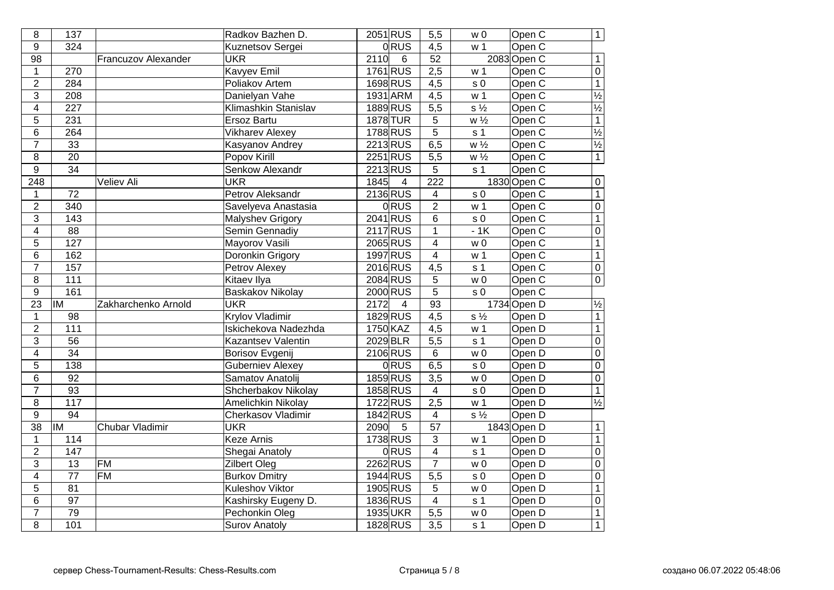| 8                       | 137               |                     | Radkov Bazhen D.          | 2051 RUS               | 5,5              | w 0                       | Open C      | $\overline{1}$           |
|-------------------------|-------------------|---------------------|---------------------------|------------------------|------------------|---------------------------|-------------|--------------------------|
| 9                       | 324               |                     | Kuznetsov Sergei          | $0$ RUS                | 4,5              | w 1                       | Open C      |                          |
| 98                      |                   | Francuzov Alexander | <b>UKR</b>                | 2110<br>$\overline{6}$ | $\overline{52}$  |                           | 2083 Open C | $\mathbf{1}$             |
| $\mathbf{1}$            | 270               |                     | <b>Kavyev Emil</b>        | 1761 RUS               | 2,5              | w <sub>1</sub>            | Open C      | $\overline{0}$           |
| $\overline{2}$          | 284               |                     | Poliakov Artem            | 1698 RUS               | $\overline{4,5}$ | s <sub>0</sub>            | Open C      | $\overline{1}$           |
| $\overline{3}$          | $\overline{208}$  |                     | Danielyan Vahe            | 1931 ARM               | 4,5              | w <sub>1</sub>            | Open C      | $\frac{1}{2}$            |
| $\overline{4}$          | $\overline{227}$  |                     | Klimashkin Stanislav      | 1889 RUS               | 5,5              | $\overline{s\frac{1}{2}}$ | Open C      | $\frac{1}{2}$            |
| 5                       | 231               |                     | <b>Ersoz Bartu</b>        | 1878 TUR               | $\overline{5}$   | $W\frac{1}{2}$            | Open C      | $\overline{1}$           |
| $\,6$                   | 264               |                     | <b>Vikharev Alexey</b>    | 1788 RUS               | $\overline{5}$   | s <sub>1</sub>            | Open C      | $\frac{1}{2}$            |
| $\overline{7}$          | 33                |                     | Kasyanov Andrey           | 2213 RUS               | 6,5              | $W\frac{1}{2}$            | Open C      | $\frac{1}{2}$            |
| 8                       | $\overline{20}$   |                     | <b>Popov Kirill</b>       | 2251 RUS               | 5,5              | $w\frac{1}{2}$            | Open C      |                          |
| $\overline{9}$          | $\overline{34}$   |                     | <b>Senkow Alexandr</b>    | 2213RUS                | $\overline{5}$   | s <sub>1</sub>            | Open C      |                          |
| $\overline{248}$        |                   | <b>Veliev Ali</b>   | <b>UKR</b>                | 1845<br>$\overline{4}$ | $\overline{222}$ |                           | 1830 Open C | $\overline{0}$           |
| $\mathbf{1}$            | $\overline{72}$   |                     | Petrov Aleksandr          | 2136 RUS               | $\overline{4}$   | s <sub>0</sub>            | Open C      | $\overline{1}$           |
| $\overline{2}$          | $\overline{340}$  |                     | Savelyeva Anastasia       | <b>ORUS</b>            | $\overline{2}$   | w <sub>1</sub>            | Open C      | $\overline{0}$           |
| $\overline{3}$          | $\frac{1}{143}$   |                     | <b>Malyshev Grigory</b>   | 2041 RUS               | $6\overline{6}$  | s <sub>0</sub>            | Open C      | $\overline{1}$           |
| $\overline{4}$          | $\overline{88}$   |                     | Semin Gennadiy            | 2117 RUS               | $\mathbf{1}$     | $-1K$                     | Open C      | $\overline{0}$           |
| $\overline{5}$          | $\overline{127}$  |                     | Mayorov Vasili            | 2065 RUS               | $\overline{4}$   | w <sub>0</sub>            | Open C      | $\overline{1}$           |
| $6\overline{6}$         | 162               |                     | Doronkin Grigory          | 1997 RUS               | $\overline{4}$   | w <sub>1</sub>            | Open C      | $\overline{1}$           |
| $\overline{7}$          | 157               |                     | Petrov Alexey             | 2016RUS                | $\overline{4,5}$ | s <sub>1</sub>            | Open C      | $\overline{0}$           |
| $\overline{\bf 8}$      | $\frac{111}{111}$ |                     | <b>Kitaev Ilya</b>        | 2084 RUS               | $\overline{5}$   | W <sub>0</sub>            | Open C      | $\overline{0}$           |
| $\overline{9}$          | 161               |                     | <b>Baskakov Nikolay</b>   | 2000 RUS               | $\overline{5}$   | s <sub>0</sub>            | Open C      |                          |
| $\overline{23}$         | <b>IM</b>         | Zakharchenko Arnold | <b>UKR</b>                | 2172<br>$\overline{4}$ | 93               |                           | 1734 Open D | $\overline{\frac{1}{2}}$ |
| $\mathbf{1}$            | 98                |                     | <b>Krylov Vladimir</b>    | 1829 RUS               | 4,5              | $s\frac{1}{2}$            | Open D      | $\overline{1}$           |
| $\overline{2}$          | $\frac{111}{111}$ |                     | Iskichekova Nadezhda      | 1750 KAZ               | 4,5              | w <sub>1</sub>            | Open D      | $\overline{1}$           |
| $\overline{3}$          | $\overline{56}$   |                     | <b>Kazantsev Valentin</b> | 2029 BLR               | 5,5              | s <sub>1</sub>            | Open D      | $\overline{0}$           |
| $\overline{\mathbf{4}}$ | $\overline{34}$   |                     | <b>Borisov Evgenij</b>    | 2106 RUS               | 6                | w <sub>0</sub>            | Open D      | $\overline{0}$           |
| $\overline{5}$          | $\frac{1}{138}$   |                     | <b>Guberniev Alexey</b>   | $0$ RUS                | 6,5              | $\sqrt{s}$ 0              | Open D      | $\overline{0}$           |
| $\overline{6}$          | $\overline{92}$   |                     | Samatov Anatolij          | 1859 RUS               | $\overline{3,5}$ | w <sub>0</sub>            | Open D      | $\overline{0}$           |
| $\overline{7}$          | $\overline{93}$   |                     | Shcherbakov Nikolay       | 1858 RUS               | $\overline{4}$   | $\sqrt{s}$ 0              | Open D      | $\overline{1}$           |
| $\overline{8}$          | 117               |                     | Amelichkin Nikolay        | 1722 RUS               | 2,5              | w <sub>1</sub>            | Open D      | $\overline{\frac{1}{2}}$ |
| $\boldsymbol{9}$        | 94                |                     | Cherkasov Vladimir        | 1842 RUS               | $\overline{4}$   | $s\frac{1}{2}$            | Open D      |                          |
| $\overline{38}$         | <b>IM</b>         | Chubar Vladimir     | <b>UKR</b>                | 2090<br>$\overline{5}$ | $\overline{57}$  |                           | 1843 Open D | $\overline{1}$           |
| $\mathbf{1}$            | 114               |                     | <b>Keze Arnis</b>         | 1738 RUS               | $\overline{3}$   | w <sub>1</sub>            | Open D      | $\overline{1}$           |
| $\overline{2}$          | $\overline{147}$  |                     | Shegai Anatoly            | <b>ORUS</b>            | $\overline{4}$   | s <sub>1</sub>            | Open D      | $\overline{0}$           |
| $\overline{3}$          | $\overline{13}$   | <b>FM</b>           | <b>Zilbert Oleg</b>       | 2262 RUS               | $\overline{7}$   | w <sub>0</sub>            | Open D      | $\overline{0}$           |
| $\overline{\mathbf{4}}$ | $\overline{77}$   | $\overline{FM}$     | <b>Burkov Dmitry</b>      | 1944 RUS               | $\overline{5,5}$ | s <sub>0</sub>            | Open D      | $\overline{0}$           |
| 5                       | 81                |                     | <b>Kuleshov Viktor</b>    | 1905 RUS               | 5                | w <sub>0</sub>            | Open D      | $\overline{1}$           |
| $\overline{6}$          | $\overline{97}$   |                     | Kashirsky Eugeny D.       | 1836 RUS               | $\overline{4}$   | $\overline{s}$ 1          | Open D      | $\overline{0}$           |
| $\overline{7}$          | $\overline{79}$   |                     | <b>Pechonkin Oleg</b>     | 1935UKR                | $\overline{5,5}$ | w <sub>0</sub>            | Open D      | $\overline{1}$           |
| $\overline{8}$          | 101               |                     | <b>Surov Anatoly</b>      | 1828 RUS               | 3,5              | s <sub>1</sub>            | Open D      | $\overline{1}$           |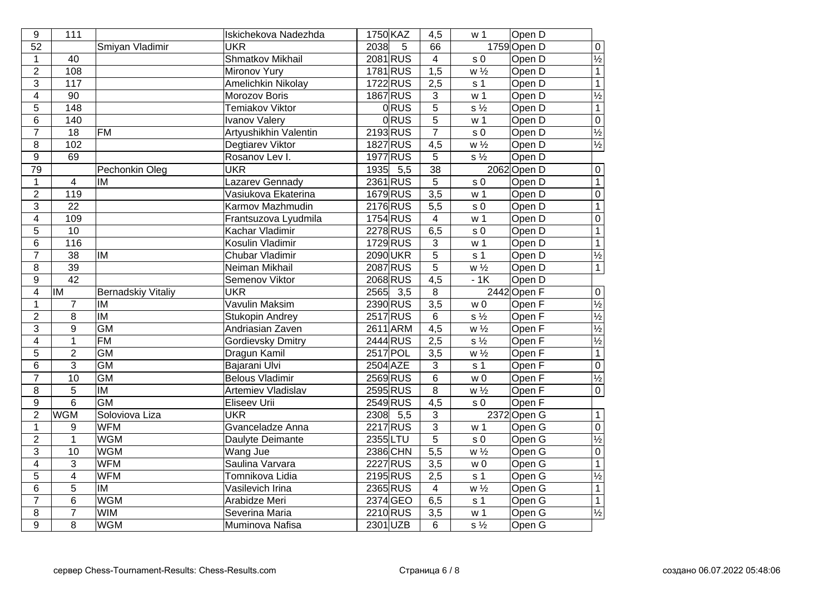| 9                       | 111                      |                           | Iskichekova Nadezhda     | 1750 KAZ    | 4,5              | w <sub>1</sub>                | Open D      |                          |
|-------------------------|--------------------------|---------------------------|--------------------------|-------------|------------------|-------------------------------|-------------|--------------------------|
| $\overline{52}$         |                          | Smiyan Vladimir           | <b>UKR</b>               | 2038<br>5   | 66               |                               | 1759 Open D | $\overline{0}$           |
| $\mathbf 1$             | $\overline{40}$          |                           | <b>Shmatkov Mikhail</b>  | 2081 RUS    | $\overline{4}$   | $\sqrt{s}$ 0                  | Open D      | $\frac{1}{2}$            |
| $\overline{2}$          | 108                      |                           | <b>Mironov Yury</b>      | 1781 RUS    | $\overline{1,5}$ | $\overline{W\frac{1}{2}}$     | Open D      | $\overline{1}$           |
| $\overline{3}$          | 117                      |                           | Amelichkin Nikolay       | 1722 RUS    | 2,5              | s <sub>1</sub>                | Open D      | $\overline{1}$           |
| $\overline{\mathbf{4}}$ | 90                       |                           | Morozov Boris            | 1867 RUS    | 3                | w <sub>1</sub>                | Open D      | $\frac{1}{2}$            |
| $\overline{5}$          | 148                      |                           | <b>Temiakov Viktor</b>   | $0$ RUS     | $\overline{5}$   | $s\frac{1}{2}$                | Open D      | $\overline{1}$           |
| 6                       | 140                      |                           | <b>Ivanov Valery</b>     | <b>ORUS</b> | 5                | w <sub>1</sub>                | Open D      | $\overline{0}$           |
| $\overline{7}$          | 18                       | <b>FM</b>                 | Artyushikhin Valentin    | 2193 RUS    | $\overline{7}$   | $\sqrt{s}$ 0                  | Open D      | $\overline{\frac{1}{2}}$ |
| 8                       | 102                      |                           | Degtiarev Viktor         | 1827 RUS    | 4,5              | $w\frac{1}{2}$                | Open D      | $\frac{1}{2}$            |
| 9                       | 69                       |                           | Rosanov Lev I.           | 1977 RUS    | 5                | $s\frac{1}{2}$                | Open D      |                          |
| $\overline{79}$         |                          | Pechonkin Oleg            | <b>UKR</b>               | 1935 5,5    | $\overline{38}$  |                               | 2062 Open D | $\overline{0}$           |
| $\mathbf{1}$            | $\overline{4}$           | IM                        | Lazarev Gennady          | 2361 RUS    | $\overline{5}$   | s <sub>0</sub>                | Open D      | $\overline{1}$           |
| $\overline{2}$          | 119                      |                           | Vasiukova Ekaterina      | 1679RUS     | $\overline{3,5}$ | w <sub>1</sub>                | Open D      | $\overline{0}$           |
| $\overline{3}$          | $\overline{22}$          |                           | Karmov Mazhmudin         | 2176 RUS    | $\overline{5,5}$ | s <sub>0</sub>                | Open D      | $\overline{1}$           |
| $\overline{4}$          | 109                      |                           | Frantsuzova Lyudmila     | 1754 RUS    | $\overline{4}$   | w <sub>1</sub>                | Open D      | $\overline{0}$           |
| $\overline{5}$          | 10                       |                           | Kachar Vladimir          | 2278 RUS    | 6,5              | s <sub>0</sub>                | Open D      | $\overline{1}$           |
| $\overline{6}$          | $\frac{116}{116}$        |                           | Kosulin Vladimir         | 1729 RUS    | $\overline{3}$   | w <sub>1</sub>                | Open D      | $\overline{1}$           |
| $\overline{7}$          | $\overline{38}$          | <b>IM</b>                 | <b>Chubar Vladimir</b>   | 2090UKR     | $\overline{5}$   | s <sub>1</sub>                | Open D      | $\frac{1}{2}$            |
| $\overline{8}$          | 39                       |                           | Neiman Mikhail           | 2087 RUS    | $\overline{5}$   | W <sup>1</sup> / <sub>2</sub> | Open D      | $\overline{1}$           |
| 9                       | $\overline{42}$          |                           | Semenov Viktor           | 2068 RUS    | $\overline{4,5}$ | $-1K$                         | Open D      |                          |
| $\overline{4}$          | $\overline{\mathsf{IM}}$ | <b>Bernadskiy Vitaliy</b> | <b>UKR</b>               | $2565$ 3,5  | $\overline{8}$   |                               | 2442 Open F | $\overline{0}$           |
| $\mathbf{1}$            | $\overline{7}$           | <b>IM</b>                 | <b>Vavulin Maksim</b>    | 2390 RUS    | $\overline{3,5}$ | w <sub>0</sub>                | Open F      | $\overline{\frac{1}{2}}$ |
| $\overline{2}$          | $\overline{8}$           | $\overline{\mathsf{M}}$   | Stukopin Andrey          | $2517$ RUS  | 6                | $s\frac{1}{2}$                | Open F      | $\frac{1}{2}$            |
| $\overline{3}$          | $\overline{9}$           | GM                        | Andriasian Zaven         | 2611 ARM    | $\overline{4,5}$ | $W\frac{1}{2}$                | Open F      |                          |
| $\overline{4}$          | $\mathbf{1}$             | <b>FM</b>                 | <b>Gordievsky Dmitry</b> | 2444 RUS    | 2,5              | $\overline{s\frac{1}{2}}$     | Open F      | $\frac{1}{2}$            |
| $\overline{5}$          | $\overline{2}$           | $\overline{GM}$           | Dragun Kamil             | 2517 POL    | $\overline{3,5}$ | $W\frac{1}{2}$                | Open F      |                          |
| $\overline{6}$          | 3                        | $\overline{GM}$           | Bajarani Ulvi            | $2504$ AZE  | 3                | s <sub>1</sub>                | Open F      | $\overline{0}$           |
| $\overline{7}$          | 10                       | GM                        | <b>Belous Vladimir</b>   | 2569RUS     | $\overline{6}$   | W <sub>0</sub>                | Open F      | $\overline{\frac{1}{2}}$ |
| $\overline{8}$          | $\overline{5}$           | $\overline{\mathsf{M}}$   | Artemiev Vladislav       | 2595 RUS    | $\overline{8}$   | $\overline{w\frac{1}{2}}$     | Open F      | $\overline{0}$           |
| $\overline{9}$          | $\overline{6}$           | GM                        | <b>Eliseev Urii</b>      | 2549 RUS    | $\overline{4,5}$ | s <sub>0</sub>                | Open F      |                          |
| $\overline{2}$          | <b>WGM</b>               | Soloviova Liza            | <b>UKR</b>               | $2308$ 5,5  | 3                |                               | 2372 Open G | $\overline{1}$           |
| $\mathbf{1}$            | 9                        | <b>WFM</b>                | Gvanceladze Anna         | 2217 RUS    | $\overline{3}$   | w <sub>1</sub>                | Open G      | $\overline{0}$           |
| $\overline{c}$          | $\mathbf 1$              | <b>WGM</b>                | Daulyte Deimante         | 2355 LTU    | $\overline{5}$   | $\sqrt{s}$ 0                  | Open G      | $\overline{\frac{1}{2}}$ |
| $\overline{3}$          | $\overline{10}$          | <b>WGM</b>                | Wang Jue                 | 2386 CHN    | $\overline{5,5}$ | $\overline{w\frac{1}{2}}$     | Open G      | $\overline{0}$           |
| $\overline{4}$          | 3                        | <b>WFM</b>                | Saulina Varvara          | 2227 RUS    | $\overline{3,5}$ | w <sub>0</sub>                | Open G      | $\overline{1}$           |
| $\overline{5}$          | $\overline{4}$           | <b>WFM</b>                | Tomnikova Lidia          | 2195 RUS    | 2,5              | s <sub>1</sub>                | Open G      | $\frac{1}{2}$            |
| 6                       | 5                        | IM                        | Vasilevich Irina         | 2365 RUS    | 4                | $w \frac{1}{2}$               | Open G      |                          |
| $\overline{7}$          | $\overline{6}$           | <b>WGM</b>                | Arabidze Meri            | 2374 GEO    | $\overline{6,5}$ | $s\bar{1}$                    | Open G      | $\overline{1}$           |
| 8                       | $\overline{7}$           | <b>WIM</b>                | Severina Maria           | 2210 RUS    | 3,5              | w <sub>1</sub>                | Open G      | $\frac{1}{2}$            |
| $\overline{9}$          | 8                        | <b>WGM</b>                | Muminova Nafisa          | 2301 UZB    | 6                | $s\frac{1}{2}$                | Open G      |                          |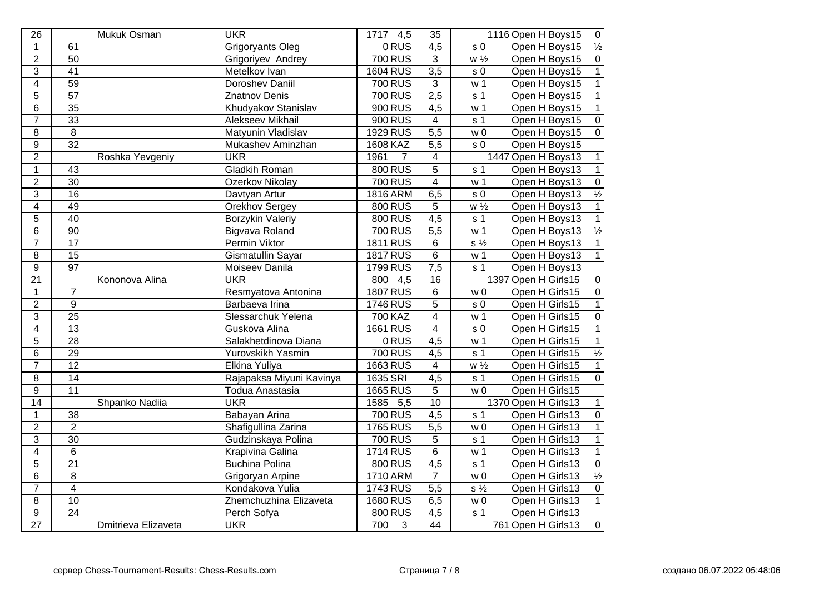| 26                      |                         | Mukuk Osman         | <b>UKR</b>               | $1717$ 4,5               | $\overline{35}$         |                             | 1116 Open H Boys15  | $\overline{0}$           |
|-------------------------|-------------------------|---------------------|--------------------------|--------------------------|-------------------------|-----------------------------|---------------------|--------------------------|
| $\mathbf{1}$            | $\overline{61}$         |                     | Grigoryants Oleg         | <b>ORUS</b>              | $\overline{4,5}$        | s <sub>0</sub>              | Open H Boys15       | $\overline{\frac{1}{2}}$ |
| $\overline{2}$          | $\overline{50}$         |                     | Grigoriyev Andrey        | 700 RUS                  | $\overline{3}$          | $\overline{w\frac{1}{2}}$   | Open H Boys15       | $\overline{0}$           |
| $\overline{3}$          | $\overline{41}$         |                     | Metelkov Ivan            | 1604 RUS                 | 3,5                     | $\overline{s}$ <sub>0</sub> | Open H Boys15       | $\overline{1}$           |
| $\overline{\mathbf{4}}$ | 59                      |                     | <b>Doroshev Daniil</b>   | 700 RUS                  | 3                       | w <sub>1</sub>              | Open H Boys15       | $\overline{1}$           |
| 5                       | $\overline{57}$         |                     | Znatnov Denis            | 700 RUS                  | 2,5                     | s <sub>1</sub>              | Open H Boys15       | $\overline{1}$           |
| $\,6$                   | $\overline{35}$         |                     | Khudyakov Stanislav      | 900 RUS                  | 4,5                     | w <sub>1</sub>              | Open H Boys15       | $\overline{1}$           |
| $\overline{7}$          | $\overline{33}$         |                     | Alekseev Mikhail         | 900 RUS                  | $\overline{4}$          | s <sub>1</sub>              | Open H Boys15       | $\overline{0}$           |
| 8                       | 8                       |                     | Matyunin Vladislav       | 1929 RUS                 | $\overline{5,5}$        | w <sub>0</sub>              | Open H Boys15       | $\overline{0}$           |
| $\boldsymbol{9}$        | $\overline{32}$         |                     | Mukashev Aminzhan        | 1608 KAZ                 | $\overline{5,5}$        | s <sub>0</sub>              | Open H Boys15       |                          |
| $\overline{c}$          |                         | Roshka Yevgeniy     | <b>UKR</b>               | 1961<br>7                | 4                       |                             | 1447 Open H Boys13  | $\mathbf 1$              |
| $\mathbf{1}$            | 43                      |                     | <b>Gladkih Roman</b>     | 800 RUS                  | $\overline{5}$          | s <sub>1</sub>              | Open H Boys13       | $\overline{1}$           |
| $\overline{2}$          | $\overline{30}$         |                     | Ozerkov Nikolay          | 700 RUS                  | $\overline{4}$          | w <sub>1</sub>              | Open H Boys13       | $\overline{0}$           |
| 3                       | $\overline{16}$         |                     | Davtyan Artur            | 1816 ARM                 | 6,5                     | s <sub>0</sub>              | Open H Boys13       | $\frac{1}{2}$            |
| $\overline{4}$          | $\overline{49}$         |                     | <b>Orekhov Sergey</b>    | 800 RUS                  | 5                       | $\overline{w\frac{1}{2}}$   | Open H Boys13       | $\overline{1}$           |
| $\overline{5}$          | $\overline{40}$         |                     | <b>Borzykin Valeriy</b>  | 800 RUS                  | $\overline{4,5}$        | s <sub>1</sub>              | Open H Boys13       | $\overline{1}$           |
| $6\overline{6}$         | $\overline{90}$         |                     | <b>Bigvava Roland</b>    | 700 RUS                  | $\overline{5,5}$        | w <sub>1</sub>              | Open H Boys13       | $\frac{1}{2}$            |
| $\overline{7}$          | $\overline{17}$         |                     | Permin Viktor            | 1811 RUS                 | 6                       | $\overline{s\frac{1}{2}}$   | Open H Boys13       | $\overline{1}$           |
| $\overline{8}$          | $\overline{15}$         |                     | Gismatullin Sayar        | 1817 RUS                 | $\overline{6}$          | w <sub>1</sub>              | Open H Boys13       | $\overline{1}$           |
| $\overline{9}$          | $\overline{97}$         |                     | Moiseev Danila           | 1799RUS                  | $\overline{7,5}$        | s <sub>1</sub>              | Open H Boys13       |                          |
| $\overline{21}$         |                         | Kononova Alina      | <b>UKR</b>               | $800 \mid 4.5$           | 16                      |                             | 1397 Open H Girls15 | $\overline{0}$           |
| $\mathbf{1}$            | $\overline{7}$          |                     | Resmyatova Antonina      | 1807 RUS                 | 6                       | w <sub>0</sub>              | Open H Girls15      | $\overline{0}$           |
| $\overline{2}$          | $\overline{9}$          |                     | Barbaeva Irina           | 1746 RUS                 | $\overline{5}$          | s <sub>0</sub>              | Open H Girls15      | $\overline{1}$           |
| $\overline{3}$          | $\overline{25}$         |                     | Slessarchuk Yelena       | 700 KAZ                  | $\overline{4}$          | w <sub>1</sub>              | Open H Girls15      | $\frac{\overline{0}}{1}$ |
| $\overline{\mathbf{4}}$ | $\overline{13}$         |                     | Guskova Alina            | 1661 RUS                 | $\overline{4}$          | s <sub>0</sub>              | Open H Girls15      |                          |
| $\overline{5}$          | $\overline{28}$         |                     | Salakhetdinova Diana     | ORUS                     | $\overline{4,5}$        | w <sub>1</sub>              | Open H Girls15      | $\overline{1}$           |
| 6                       | $\overline{29}$         |                     | Yurovskikh Yasmin        | <b>700 RUS</b>           | 4,5                     | s <sub>1</sub>              | Open H Girls15      | $\overline{\frac{1}{2}}$ |
| $\overline{7}$          | $\overline{12}$         |                     | <b>Elkina Yuliya</b>     | 1663RUS                  | $\overline{\mathbf{4}}$ | $\overline{w\frac{1}{2}}$   | Open H Girls15      | $\overline{1}$           |
| $\overline{8}$          | $\overline{14}$         |                     | Rajapaksa Miyuni Kavinya | 1635 SRI                 | $\overline{4,5}$        | s <sub>1</sub>              | Open H Girls15      | $\overline{0}$           |
| $\overline{9}$          | $\overline{11}$         |                     | <b>Todua Anastasia</b>   | 1665 RUS                 | $\overline{5}$          | $\overline{w}$ 0            | Open H Girls15      |                          |
| $\overline{14}$         |                         | Shpanko Nadiia      | <b>UKR</b>               | $\overline{5,5}$<br>1585 | 10                      |                             | 1370 Open H Girls13 | $\overline{1}$           |
| $\mathbf{1}$            | $\overline{38}$         |                     | Babayan Arina            | <b>700 RUS</b>           | $\overline{4,5}$        | s <sub>1</sub>              | Open H Girls13      | $\overline{0}$           |
| $\overline{2}$          | $\overline{2}$          |                     | Shafigullina Zarina      | 1765 RUS                 | $\overline{5,5}$        | w <sub>0</sub>              | Open H Girls13      | $\overline{1}$           |
| $\overline{3}$          | $\overline{30}$         |                     | Gudzinskaya Polina       | 700 RUS                  | 5                       | s <sub>1</sub>              | Open H Girls13      | $\overline{1}$           |
| $\overline{4}$          | $\overline{6}$          |                     | Krapivina Galina         | 1714 RUS                 | $\overline{6}$          | w <sub>1</sub>              | Open H Girls13      | $\overline{1}$           |
| 5                       | $\overline{21}$         |                     | <b>Buchina Polina</b>    | 800 RUS                  | $\overline{4,5}$        | s <sub>1</sub>              | Open H Girls13      |                          |
| 6                       | $\overline{8}$          |                     | <b>Grigoryan Arpine</b>  | 1710 ARM                 | $\overline{7}$          | $W\overline{0}$             | Open H Girls13      | $\frac{1}{8}$            |
| $\overline{7}$          | $\overline{\mathbf{4}}$ |                     | Kondakova Yulia          | 1743 RUS                 | $\overline{5,5}$        | $\overline{s\frac{1}{2}}$   | Open H Girls13      |                          |
| $\overline{8}$          | $\overline{10}$         |                     | Zhemchuzhina Elizaveta   | 1680 RUS                 | 6,5                     | w <sub>0</sub>              | Open H Girls13      | $\overline{1}$           |
| $\overline{9}$          | $\overline{24}$         |                     | Perch Sofya              | 800 RUS                  | 4,5                     | s <sub>1</sub>              | Open H Girls13      |                          |
| $\overline{27}$         |                         | Dmitrieva Elizaveta | <b>UKR</b>               | $\overline{3}$<br>700    | $\overline{44}$         |                             | 761 Open H Girls13  | $\overline{0}$           |